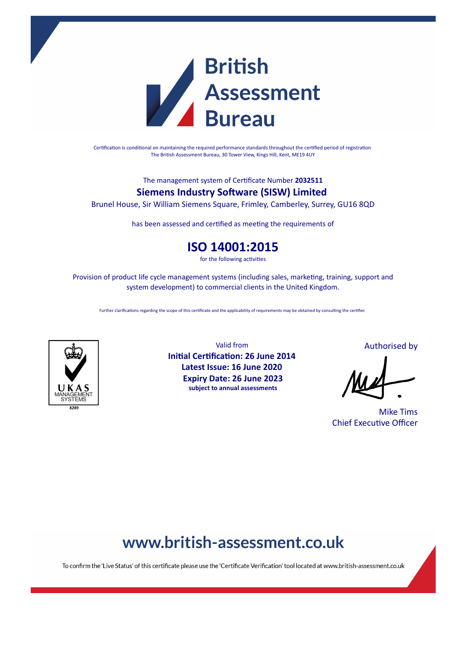

Certification is conditional on maintaining the required performance standards throughout the certified period of registration The British Assessment Bureau, 30 Tower View, Kings Hill, Kent, ME19 4UY

The management system of Cerficate Number **2032511**

### **Siemens Industry Software (SISW) Limited**

Brunel House, Sir William Siemens Square, Frimley, Camberley, Surrey, GU16 8QD

has been assessed and certified as meeting the requirements of

### **ISO 14001:2015**

for the following activities

Provision of product life cycle management systems (including sales, marketing, training, support and system development) to commercial clients in the United Kingdom.

Further clarifications regarding the scope of this certificate and the applicability of requirements may be obtained by consulting the certifier.



Valid from **Initial Certification: 26 June 2014 Latest Issue: 16 June 2020 Expiry Date: 26 June 2023 subject to annual assessments**

Authorised by

Mike Tims **Chief Executive Officer** 

## www.british-assessment.co.uk

To confirm the 'Live Status' of this certificate please use the 'Certificate Verification' tool located at www.british-assessment.co.uk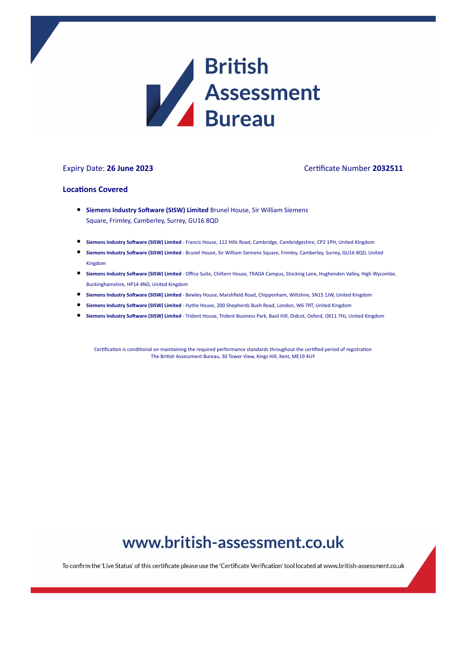

#### Expiry Date: **26 June 2023** Cerficate Number **2032511**

#### **Locations Covered**

- **Siemens Industry Software (SISW) Limited** Brunel House, Sir William Siemens Square, Frimley, Camberley, Surrey, GU16 8QD
- **Siemens Industry Software (SISW) Limited Francis House, 112 Hills Road, Cambridge, Cambridgeshire, CP2 1PH, United KIngdom**
- **Siemens Industry Software (SISW) Limited Brunel House, Sir William Siemens Square, Frimley, Camberley, Surrey, GU16 8QD, United** Kingdom
- **Siemens Industry Soware (SISW) Limited** Office Suite, Chiltern House, TRADA Campus, Stocking Lane, Hughenden Valley, High Wycombe, Buckinghamshire, HP14 4ND, United Kingdom
- **Siemens Industry Software (SISW) Limited Bewley House, Marshfield Road, Chippenham, Wiltshire, SN15 1JW, United Kingdom**
- **Siemens Industry Software (SISW) Limited** Hythe House, 200 Shepherds Bush Road, London, W6 7RT, United Kingdom
- **Siemens Industry Software (SISW) Limited** Trident House, Trident Business Park, Basil Hill, Didcot, Oxford, OX11 7HJ, United Kingdom

Certification is conditional on maintaining the required performance standards throughout the certified period of registration The British Assessment Bureau, 30 Tower View, Kings Hill, Kent, ME19 4UY

# www.british-assessment.co.uk

To confirm the 'Live Status' of this certificate please use the 'Certificate Verification' tool located at www.british-assessment.co.uk